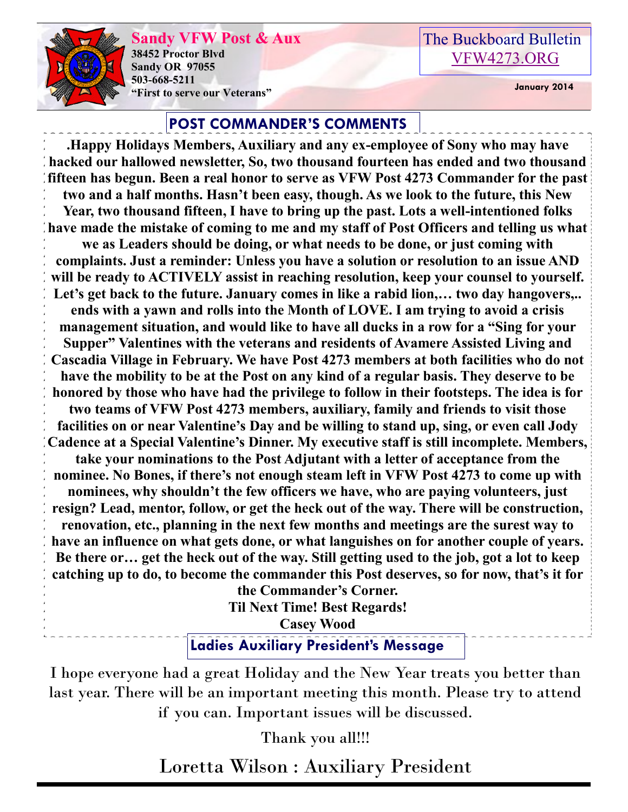

**Sandy VFW Post & Aux 38452 Proctor Blvd Sandy OR 97055 503-668-5211 "First to serve our Veterans" January 2014** 

## The Buckboard Bulletin [VFW4273.ORG](http://vfw4273.org/)

#### **POST COMMANDER'S COMMENTS**

**.Happy Holidays Members, Auxiliary and any ex-employee of Sony who may have hacked our hallowed newsletter, So, two thousand fourteen has ended and two thousand fifteen has begun. Been a real honor to serve as VFW Post 4273 Commander for the past two and a half months. Hasn't been easy, though. As we look to the future, this New Year, two thousand fifteen, I have to bring up the past. Lots a well-intentioned folks have made the mistake of coming to me and my staff of Post Officers and telling us what we as Leaders should be doing, or what needs to be done, or just coming with complaints. Just a reminder: Unless you have a solution or resolution to an issue AND will be ready to ACTIVELY assist in reaching resolution, keep your counsel to yourself.**  Let's get back to the future. January comes in like a rabid lion,... two day hangovers,.. **ends with a yawn and rolls into the Month of LOVE. I am trying to avoid a crisis management situation, and would like to have all ducks in a row for a "Sing for your Supper" Valentines with the veterans and residents of Avamere Assisted Living and Cascadia Village in February. We have Post 4273 members at both facilities who do not have the mobility to be at the Post on any kind of a regular basis. They deserve to be honored by those who have had the privilege to follow in their footsteps. The idea is for two teams of VFW Post 4273 members, auxiliary, family and friends to visit those facilities on or near Valentine's Day and be willing to stand up, sing, or even call Jody Cadence at a Special Valentine's Dinner. My executive staff is still incomplete. Members, take your nominations to the Post Adjutant with a letter of acceptance from the nominee. No Bones, if there's not enough steam left in VFW Post 4273 to come up with nominees, why shouldn't the few officers we have, who are paying volunteers, just resign? Lead, mentor, follow, or get the heck out of the way. There will be construction, renovation, etc., planning in the next few months and meetings are the surest way to have an influence on what gets done, or what languishes on for another couple of years. Be there or… get the heck out of the way. Still getting used to the job, got a lot to keep catching up to do, to become the commander this Post deserves, so for now, that's it for the Commander's Corner.** 

**Til Next Time! Best Regards!**

**Casey Wood**

**Ladies Auxiliary President's Message**

I hope everyone had a great Holiday and the New Year treats you better than last year. There will be an important meeting this month. Please try to attend if you can. Important issues will be discussed.

Thank you all!!!

Loretta Wilson : Auxiliary President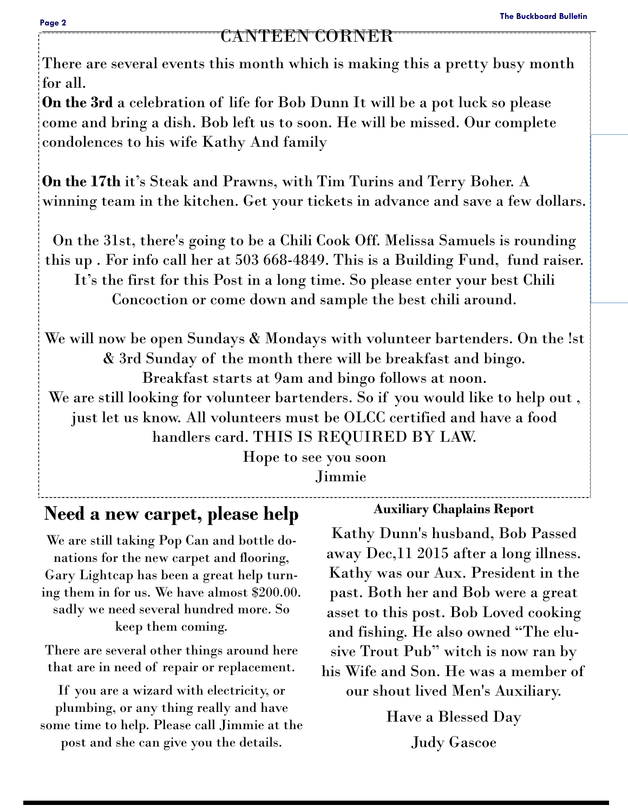#### CANTEEN CORNER

There are several events this month which is making this a pretty busy month for all.

**On the 3rd** a celebration of life for Bob Dunn It will be a pot luck so please come and bring a dish. Bob left us to soon. He will be missed. Our complete condolences to his wife Kathy And family

**On the 17th** it's Steak and Prawns, with Tim Turins and Terry Boher. A winning team in the kitchen. Get your tickets in advance and save a few dollars.

On the 31st, there's going to be a Chili Cook Off. Melissa Samuels is rounding this up . For info call her at 503 668-4849. This is a Building Fund, fund raiser. It's the first for this Post in a long time. So please enter your best Chili Concoction or come down and sample the best chili around.

We will now be open Sundays & Mondays with volunteer bartenders. On the lst & 3rd Sunday of the month there will be breakfast and bingo. Breakfast starts at 9am and bingo follows at noon. We are still looking for volunteer bartenders. So if you would like to help out , just let us know. All volunteers must be OLCC certified and have a food handlers card. THIS IS REQUIRED BY LAW.

> Hope to see you soon Jimmie

# **Need a new carpet, please help**

We are still taking Pop Can and bottle donations for the new carpet and flooring, Gary Lightcap has been a great help turning them in for us. We have almost \$200.00. sadly we need several hundred more. So keep them coming.

There are several other things around here that are in need of repair or replacement.

If you are a wizard with electricity, or plumbing, or any thing really and have some time to help. Please call Jimmie at the post and she can give you the details.

#### **Auxiliary Chaplains Report**

Kathy Dunn's husband, Bob Passed away Dec,11 2015 after a long illness. Kathy was our Aux. President in the past. Both her and Bob were a great asset to this post. Bob Loved cooking and fishing. He also owned "The elusive Trout Pub" witch is now ran by his Wife and Son. He was a member of our shout lived Men's Auxiliary.

Have a Blessed Day

Judy Gascoe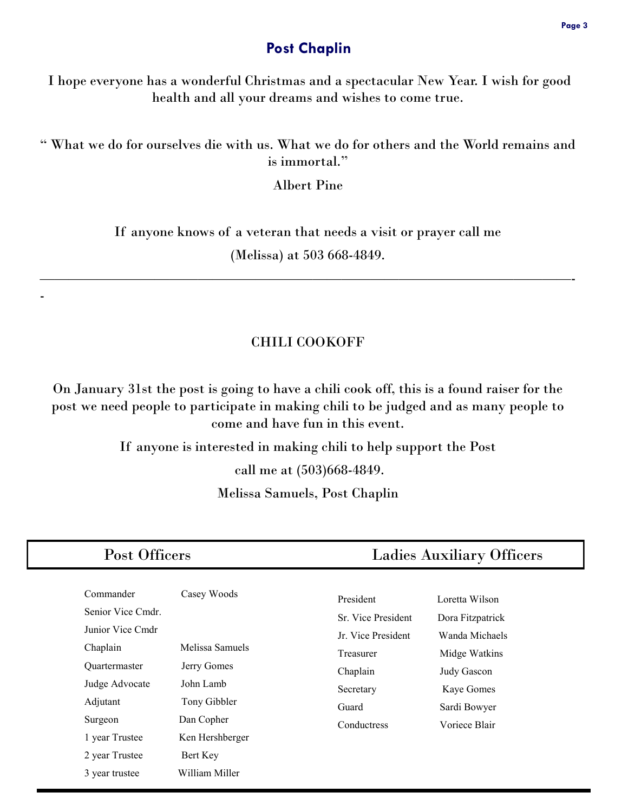#### **Post Chaplin**

I hope everyone has a wonderful Christmas and a spectacular New Year. I wish for good health and all your dreams and wishes to come true.

" What we do for ourselves die with us. What we do for others and the World remains and is immortal."

Albert Pine

If anyone knows of a veteran that needs a visit or prayer call me (Melissa) at 503 668-4849.

—————————————————————————————————————-

-

#### CHILI COOKOFF

On January 31st the post is going to have a chili cook off, this is a found raiser for the post we need people to participate in making chili to be judged and as many people to come and have fun in this event.

> If anyone is interested in making chili to help support the Post call me at (503)668-4849. Melissa Samuels, Post Chaplin

| Post Officers                                                                                                                              |                                                                                                             | <b>Ladies Auxiliary Officers</b>                                                                                    |                                                                                                                                     |
|--------------------------------------------------------------------------------------------------------------------------------------------|-------------------------------------------------------------------------------------------------------------|---------------------------------------------------------------------------------------------------------------------|-------------------------------------------------------------------------------------------------------------------------------------|
| Commander<br>Senior Vice Cmdr.<br>Junior Vice Cmdr<br>Chaplain<br>Quartermaster<br>Judge Advocate<br>Adjutant<br>Surgeon<br>1 year Trustee | Casey Woods<br>Melissa Samuels<br>Jerry Gomes<br>John Lamb<br>Tony Gibbler<br>Dan Copher<br>Ken Hershberger | President<br>Sr. Vice President<br>Jr. Vice President<br>Treasurer<br>Chaplain<br>Secretary<br>Guard<br>Conductress | Loretta Wilson<br>Dora Fitzpatrick<br>Wanda Michaels<br>Midge Watkins<br>Judy Gascon<br>Kaye Gomes<br>Sardi Bowyer<br>Voriece Blair |
| 2 year Trustee<br>3 year trustee                                                                                                           | Bert Key<br>William Miller                                                                                  |                                                                                                                     |                                                                                                                                     |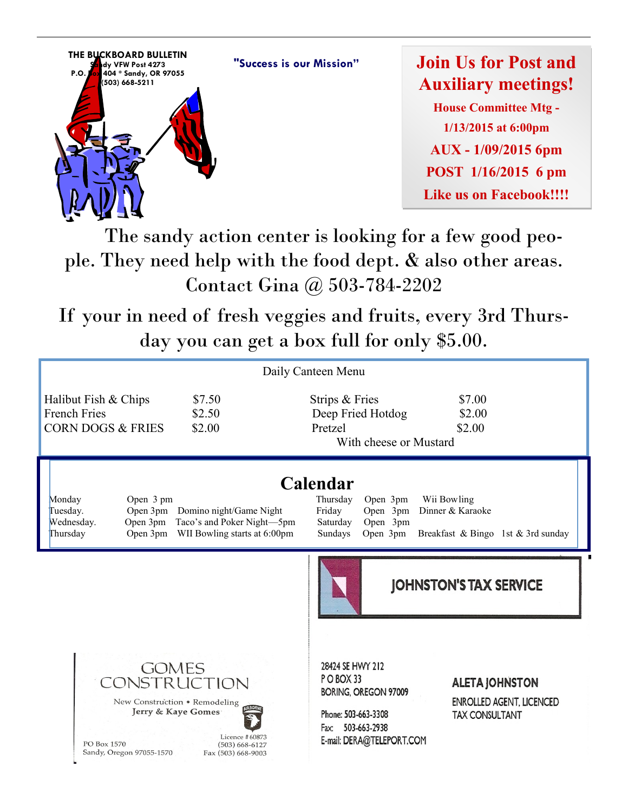



**Join Us for Post and Auxiliary meetings! House Committee Mtg - 1/13/2015 at 6:00pm AUX - 1/09/2015 6pm POST 1/16/2015 6 pm Like us on Facebook!!!!**

 The sandy action center is looking for a few good people. They need help with the food dept. & also other areas. Contact Gina @ 503-784-2202

If your in need of fresh veggies and fruits, every 3rd Thursday you can get a box full for only \$5.00.

| Daily Canteen Menu                                                                                                                                                                           |                                                                                                                                                                                                                 |  |  |
|----------------------------------------------------------------------------------------------------------------------------------------------------------------------------------------------|-----------------------------------------------------------------------------------------------------------------------------------------------------------------------------------------------------------------|--|--|
| Halibut Fish & Chips<br>\$7.50<br><b>French Fries</b><br>\$2.50<br><b>CORN DOGS &amp; FRIES</b><br>\$2.00                                                                                    | Strips & Fries<br>\$7.00<br>Deep Fried Hotdog<br>\$2.00<br>\$2.00<br>Pretzel<br>With cheese or Mustard                                                                                                          |  |  |
| Open 3 pm<br>Monday<br>Domino night/Game Night<br>Open 3pm<br>Tuesday.<br>Taco's and Poker Night-5pm<br>Open 3pm<br>Wednesday.<br>Open 3pm<br>WII Bowling starts at 6:00pm<br>Thursday       | Calendar<br>Thursday<br>Open 3pm<br>Wii Bowling<br>Dinner & Karaoke<br>Friday<br>Open 3pm<br>Saturday<br>Open 3pm<br>Open 3pm<br>Sundays<br>Breakfast & Bingo 1st & 3rd sunday                                  |  |  |
|                                                                                                                                                                                              | <b>JOHNSTON'S TAX SERVICE</b>                                                                                                                                                                                   |  |  |
| <b>GOMES</b><br>CONSTRUCTION<br>New Construction . Remodeling<br>Jerry & Kaye Gomes<br>Licence #60873<br>PO Box 1570<br>$(503) 668 - 6127$<br>Sandy, Oregon 97055-1570<br>Fax (503) 668-9003 | 28424 SE HWY 212<br>PO BOX 33<br><b>ALETA JOHNSTON</b><br>BORING, OREGON 97009<br>ENROLLED AGENT, LICENCED<br>Phone: 503-663-3308<br><b>TAX CONSULTANT</b><br>503-663-2938<br>Fax:<br>E-mail: DERA@TELEPORT.COM |  |  |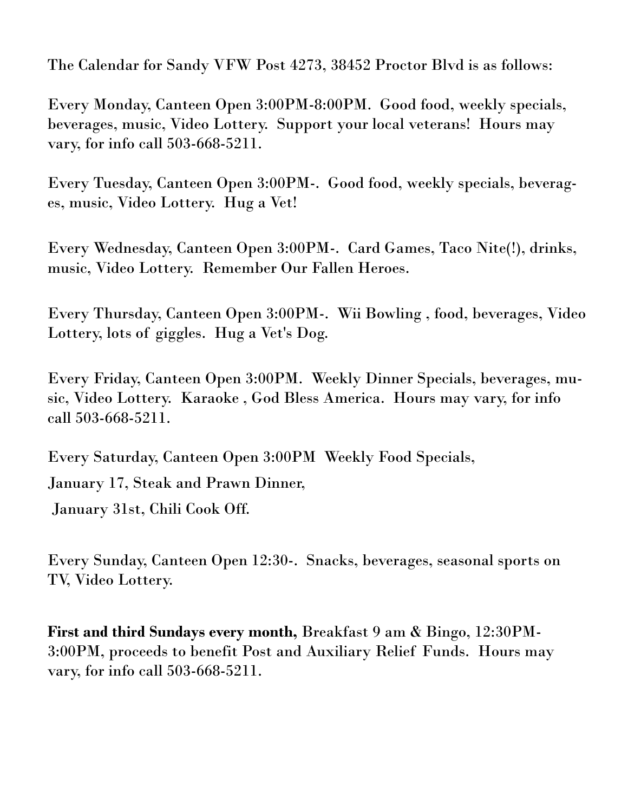The Calendar for Sandy VFW Post 4273, 38452 Proctor Blvd is as follows:

Every Monday, Canteen Open 3:00PM-8:00PM. Good food, weekly specials, beverages, music, Video Lottery. Support your local veterans! Hours may vary, for info call 503-668-5211.

Every Tuesday, Canteen Open 3:00PM-. Good food, weekly specials, beverages, music, Video Lottery. Hug a Vet!

Every Wednesday, Canteen Open 3:00PM-. Card Games, Taco Nite(!), drinks, music, Video Lottery. Remember Our Fallen Heroes.

Every Thursday, Canteen Open 3:00PM-. Wii Bowling , food, beverages, Video Lottery, lots of giggles. Hug a Vet's Dog.

Every Friday, Canteen Open 3:00PM. Weekly Dinner Specials, beverages, music, Video Lottery. Karaoke , God Bless America. Hours may vary, for info call 503-668-5211.

Every Saturday, Canteen Open 3:00PM Weekly Food Specials, January 17, Steak and Prawn Dinner,

January 31st, Chili Cook Off.

Every Sunday, Canteen Open 12:30-. Snacks, beverages, seasonal sports on TV, Video Lottery.

**First and third Sundays every month,** Breakfast 9 am & Bingo, 12:30PM-3:00PM, proceeds to benefit Post and Auxiliary Relief Funds. Hours may vary, for info call 503-668-5211.